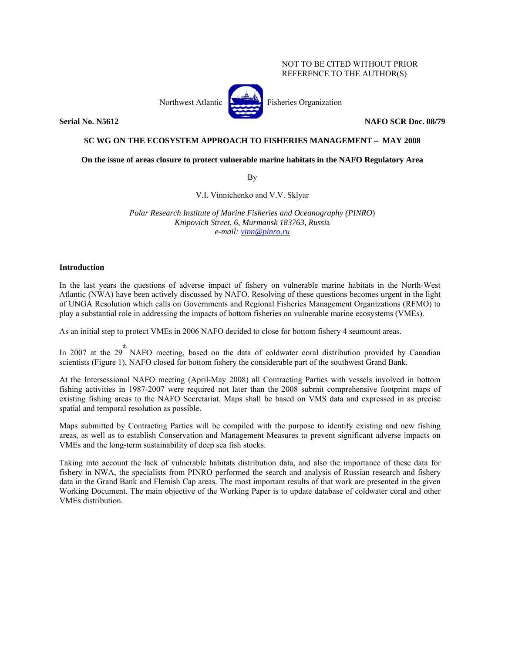# NOT TO BE CITED WITHOUT PRIOR REFERENCE TO THE AUTHOR(S)

Northwest Atlantic **Atlantic** Fisheries Organization

**Serial No. N5612 NAFO SCR Doc. 08/79** 

# **SC WG ON THE ECOSYSTEM APPROACH TO FISHERIES MANAGEMENT – MAY 2008**

**On the issue of areas closure to protect vulnerable marine habitats in the NAFO Regulatory Area**

By

V.I. Vinnichenko and V.V. Sklyar

*Polar Research Institute of Marine Fisheries and Oceanography (PINRO*) *Knipovich Street, 6, Murmansk 183763, Russi*a *e-mail: vinn@pinro.ru*

# **Introduction**

In the last years the questions of adverse impact of fishery on vulnerable marine habitats in the North-West Atlantic (NWA) have been actively discussed by NAFO. Resolving of these questions becomes urgent in the light of UNGA Resolution which calls on Governments and Regional Fisheries Management Organizations (RFMO) to play a substantial role in addressing the impacts of bottom fisheries on vulnerable marine ecosystems (VMEs).

As an initial step to protect VMEs in 2006 NAFO decided to close for bottom fishery 4 seamount areas.

In 2007 at the  $29^{th}$  NAFO meeting, based on the data of coldwater coral distribution provided by Canadian scientists (Figure 1), NAFO closed for bottom fishery the considerable part of the southwest Grand Bank.

At the Intersessional NAFO meeting (April-May 2008) all Contracting Parties with vessels involved in bottom fishing activities in 1987-2007 were required not later than the 2008 submit comprehensive footprint maps of existing fishing areas to the NAFO Secretariat. Maps shall be based on VMS data and expressed in as precise spatial and temporal resolution as possible.

Maps submitted by Contracting Parties will be compiled with the purpose to identify existing and new fishing areas, as well as to establish Conservation and Management Measures to prevent significant adverse impacts on VMEs and the long-term sustainability of deep sea fish stocks.

Taking into account the lack of vulnerable habitats distribution data, and also the importance of these data for fishery in NWA, the specialists from PINRO performed the search and analysis of Russian research and fishery data in the Grand Bank and Flemish Cap areas. The most important results of that work are presented in the given Working Document. The main objective of the Working Paper is to update database of coldwater coral and other VMEs distribution.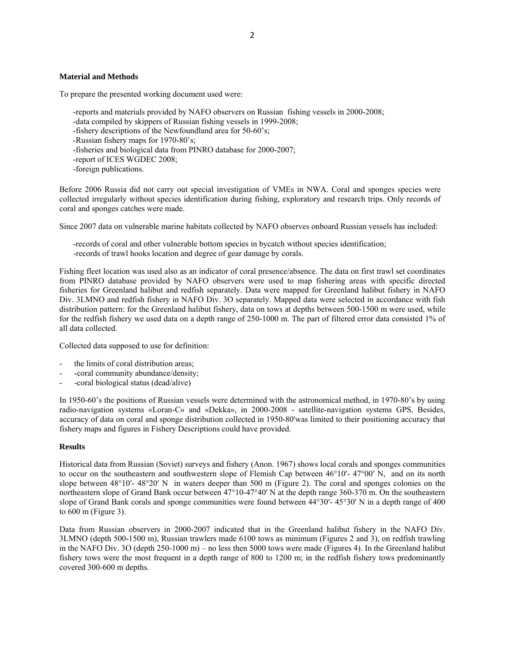# **Material and Methods**

To prepare the presented working document used were:

- -reports and materials provided by NAFO observers on Russian fishing vessels in 2000-2008;
- -data compiled by skippers of Russian fishing vessels in 1999-2008;
- -fishery descriptions of the Newfoundland area for 50-60's;
- -Russian fishery maps for 1970-80's;
- -fisheries and biological data from PINRO database for 2000-2007;
- -report of ICES WGDEC 2008;
- -foreign publications.

Before 2006 Russia did not carry out special investigation of VMEs in NWA. Coral and sponges species were collected irregularly without species identification during fishing, exploratory and research trips. Only records of coral and sponges catches were made.

Since 2007 data on vulnerable marine habitats collected by NAFO observes onboard Russian vessels has included:

-records of coral and other vulnerable bottom species in bycatch without species identification; -records of trawl hooks location and degree of gear damage by corals.

Fishing fleet location was used also as an indicator of coral presence/absence. The data on first trawl set coordinates from PINRO database provided by NAFO observers were used to map fishering areas with specific directed fisheries for Greenland halibut and redfish separately. Data were mapped for Greenland halibut fishery in NAFO Div. 3LMNO and redfish fishery in NAFO Div. 3O separately. Mapped data were selected in accordance with fish distribution pattern: for the Greenland halibut fishery, data on tows at depths between 500-1500 m were used, while for the redfish fishery we used data on a depth range of 250-1000 m. The part of filtered error data consisted 1% of all data collected.

Collected data supposed to use for definition:

- the limits of coral distribution areas;
- -coral community abundance/density;
- -coral biological status (dead/alive)

In 1950-60's the positions of Russian vessels were determined with the astronomical method, in 1970-80's by using radio-navigation systems «Loran-C» and «Dekka», in 2000-2008 - satellite-navigation systems GPS. Besides, accuracy of data on coral and sponge distribution collected in 1950-80'was limited to their positioning accuracy that fishery maps and figures in Fishery Descriptions could have provided.

### **Results**

Historical data from Russian (Soviet) surveys and fishery (Anon. 1967) shows local corals and sponges communities to occur on the southeastern and southwestern slope of Flemish Cap between 46°10′- 47°00′ N, and on its north slope between 48°10′- 48°20′ N in waters deeper than 500 m (Figure 2). The coral and sponges colonies on the northeastern slope of Grand Bank occur between 47°10-47°40′ N at the depth range 360-370 m. On the southeastern slope of Grand Bank corals and sponge communities were found between  $44^{\circ}30'$ -  $45^{\circ}30'$  N in a depth range of 400 to 600 m (Figure 3).

Data from Russian observers in 2000-2007 indicated that in the Greenland halibut fishery in the NAFO Div. 3LMNO (depth 500-1500 m), Russian trawlers made 6100 tows as minimum (Figures 2 and 3), on redfish trawling in the NAFO Div. 3O (depth 250-1000 m) – no less then 5000 tows were made (Figures 4). In the Greenland halibut fishery tows were the most frequent in a depth range of 800 to 1200 m; in the redfish fishery tows predominantly covered 300-600 m depths.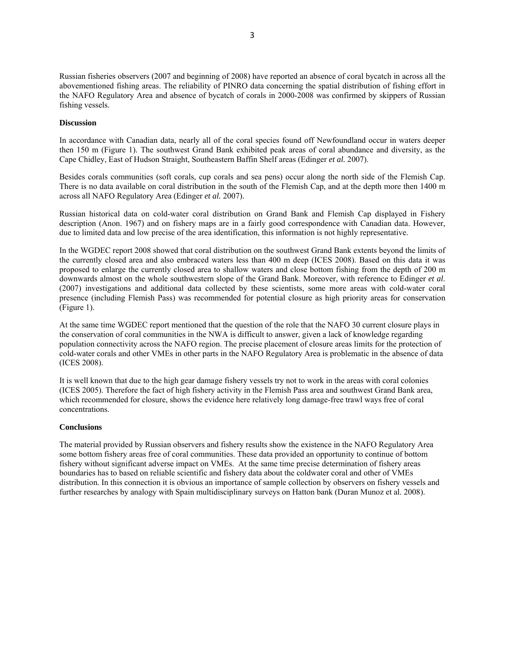Russian fisheries observers (2007 and beginning of 2008) have reported an absence of coral bycatch in across all the abovementioned fishing areas. The reliability of PINRO data concerning the spatial distribution of fishing effort in the NAFO Regulatory Area and absence of bycatch of corals in 2000-2008 was confirmed by skippers of Russian fishing vessels.

## **Discussion**

In accordance with Canadian data, nearly all of the coral species found off Newfoundland occur in waters deeper then 150 m (Figure 1). The southwest Grand Bank exhibited peak areas of coral abundance and diversity, as the Cape Chidley, East of Hudson Straight, Southeastern Baffin Shelf areas (Edinger *et al.* 2007).

Besides corals communities (soft corals, cup corals and sea pens) occur along the north side of the Flemish Cap. There is no data available on coral distribution in the south of the Flemish Cap, and at the depth more then 1400 m across all NAFO Regulatory Area (Edinger *et al.* 2007).

Russian historical data on cold-water coral distribution on Grand Bank and Flemish Cap displayed in Fishery description (Anon. 1967) and on fishery maps are in a fairly good correspondence with Canadian data. However, due to limited data and low precise of the area identification, this information is not highly representative.

In the WGDEC report 2008 showed that coral distribution on the southwest Grand Bank extents beyond the limits of the currently closed area and also embraced waters less than 400 m deep (ICES 2008). Based on this data it was proposed to enlarge the currently closed area to shallow waters and close bottom fishing from the depth of 200 m downwards almost on the whole southwestern slope of the Grand Bank. Moreover, with reference to Edinger *et al*. (2007) investigations and additional data collected by these scientists, some more areas with cold-water coral presence (including Flemish Pass) was recommended for potential closure as high priority areas for conservation (Figure 1).

At the same time WGDEC report mentioned that the question of the role that the NAFO 30 current closure plays in the conservation of coral communities in the NWA is difficult to answer, given a lack of knowledge regarding population connectivity across the NAFO region. The precise placement of closure areas limits for the protection of cold-water corals and other VMEs in other parts in the NAFO Regulatory Area is problematic in the absence of data (ICES 2008).

It is well known that due to the high gear damage fishery vessels try not to work in the areas with coral colonies (ICES 2005). Therefore the fact of high fishery activity in the Flemish Pass area and southwest Grand Bank area, which recommended for closure, shows the evidence here relatively long damage-free trawl ways free of coral concentrations.

## **Conclusions**

The material provided by Russian observers and fishery results show the existence in the NAFO Regulatory Area some bottom fishery areas free of coral communities. These data provided an opportunity to continue of bottom fishery without significant adverse impact on VMEs. At the same time precise determination of fishery areas boundaries has to based on reliable scientific and fishery data about the coldwater coral and other of VMEs distribution. In this connection it is obvious an importance of sample collection by observers on fishery vessels and further researches by analogy with Spain multidisciplinary surveys on Hatton bank (Duran Munoz et al. 2008).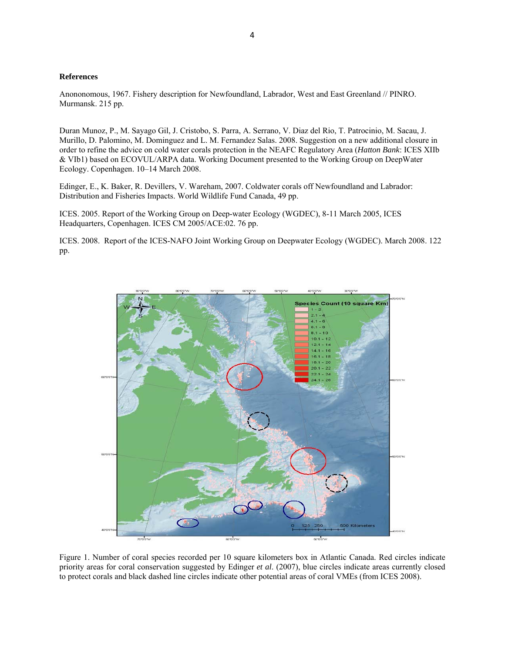## **References**

Anononomous, 1967. Fishery description for Newfoundland, Labrador, West and East Greenland // PINRO. Murmansk. 215 pp.

Duran Munoz, P., M. Sayago Gil, J. Cristobo, S. Parra, A. Serrano, V. Diaz del Rio, T. Patrocinio, M. Sacau, J. Murillo, D. Palomino, M. Dominguez and L. M. Fernandez Salas. 2008. Suggestion on a new additional closure in order to refine the advice on cold water corals protection in the NEAFC Regulatory Area (*Hatton Bank*: ICES XIIb & VIb1) based on ECOVUL/ARPA data. Working Document presented to the Working Group on DeepWater Ecology. Copenhagen. 10–14 March 2008.

Edinger, E., K. Baker, R. Devillers, V. Wareham, 2007. Coldwater corals off Newfoundland and Labrador: Distribution and Fisheries Impacts. World Wildlife Fund Canada, 49 pp.

ICES. 2005. Report of the Working Group on Deep-water Ecology (WGDEC), 8-11 March 2005, ICES Headquarters, Copenhagen. ICES CM 2005/ACE:02. 76 pp.

ICES. 2008. Report of the ICES-NAFO Joint Working Group on Deepwater Ecology (WGDEC). March 2008. 122 pp.



Figure 1. Number of coral species recorded per 10 square kilometers box in Atlantic Canada. Red circles indicate priority areas for coral conservation suggested by Edinger *et al*. (2007), blue circles indicate areas currently closed to protect corals and black dashed line circles indicate other potential areas of coral VMEs (from ICES 2008).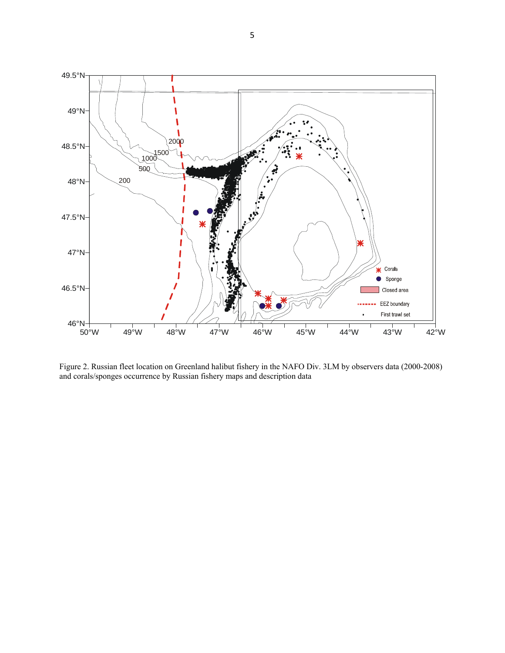

Figure 2. Russian fleet location on Greenland halibut fishery in the NAFO Div. 3LМ by observers data (2000-2008) and corals/sponges occurrence by Russian fishery maps and description data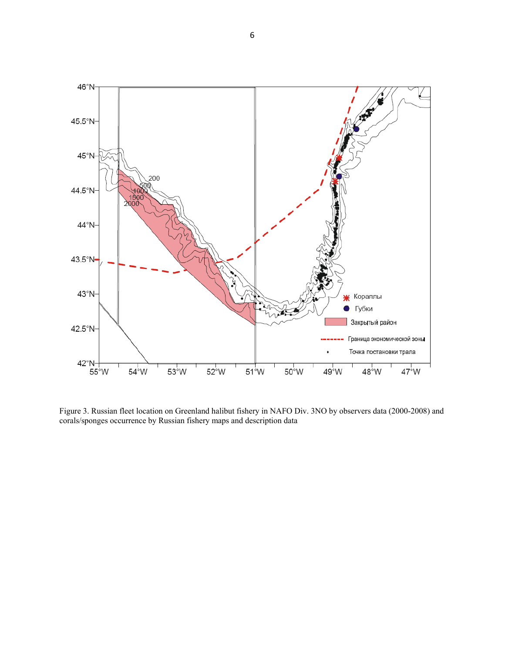

Figure 3. Russian fleet location on Greenland halibut fishery in NAFO Div. 3NO by observers data (2000-2008) and corals/sponges occurrence by Russian fishery maps and description data